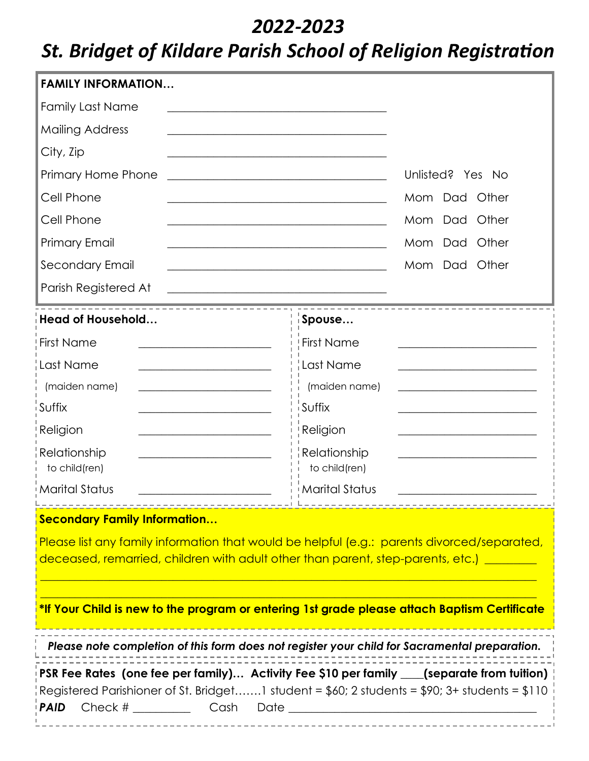## *2022-2023*

## *St. Bridget of Kildare Parish School of Religion Registration*

| <b>FAMILY INFORMATION</b>                                                                                                                                                                                                                          |                                                                                                                                          |  |  |  |
|----------------------------------------------------------------------------------------------------------------------------------------------------------------------------------------------------------------------------------------------------|------------------------------------------------------------------------------------------------------------------------------------------|--|--|--|
| <b>Family Last Name</b>                                                                                                                                                                                                                            |                                                                                                                                          |  |  |  |
| <b>Mailing Address</b>                                                                                                                                                                                                                             |                                                                                                                                          |  |  |  |
| City, Zip                                                                                                                                                                                                                                          |                                                                                                                                          |  |  |  |
| Primary Home Phone<br><u> 1989 - Johann Stein, Amerikaansk politiker (* 1908)</u>                                                                                                                                                                  | Unlisted? Yes No                                                                                                                         |  |  |  |
| Cell Phone                                                                                                                                                                                                                                         | Mom Dad Other<br><u> 1989 - Johann Barbara, martin amerikan personal (</u>                                                               |  |  |  |
| Cell Phone                                                                                                                                                                                                                                         | Mom Dad Other<br>the control of the control of the control of the control of the control of the control of the control of the control of |  |  |  |
| <b>Primary Email</b>                                                                                                                                                                                                                               | Mom Dad Other                                                                                                                            |  |  |  |
| <b>Secondary Email</b>                                                                                                                                                                                                                             | Mom Dad Other                                                                                                                            |  |  |  |
| Parish Registered At<br><u> 1980 - Johann Barn, mars ann an t-Amhain Aonaich an t-Aonaich an t-Aonaich an t-Aonaich an t-Aonaich an t-Aon</u>                                                                                                      |                                                                                                                                          |  |  |  |
| Head of Household                                                                                                                                                                                                                                  | Spouse                                                                                                                                   |  |  |  |
| First Name                                                                                                                                                                                                                                         | <b>First Name</b>                                                                                                                        |  |  |  |
| ¦Last Name                                                                                                                                                                                                                                         | Last Name                                                                                                                                |  |  |  |
| (maiden name)                                                                                                                                                                                                                                      | (maiden name)                                                                                                                            |  |  |  |
| i Suffix                                                                                                                                                                                                                                           | Suffix                                                                                                                                   |  |  |  |
| Religion<br>the control of the control of the control of the control of the control of                                                                                                                                                             | Religion                                                                                                                                 |  |  |  |
| Relationship                                                                                                                                                                                                                                       | Relationship                                                                                                                             |  |  |  |
| to child(ren)<br>i Marital Status                                                                                                                                                                                                                  | to child(ren)<br><b>Marital Status</b>                                                                                                   |  |  |  |
|                                                                                                                                                                                                                                                    |                                                                                                                                          |  |  |  |
| Secondary Family Information<br>Please list any family information that would be helpful (e.g.: parents divorced/separated,                                                                                                                        |                                                                                                                                          |  |  |  |
| deceased, remarried, children with adult other than parent, step-parents, etc.) _______                                                                                                                                                            |                                                                                                                                          |  |  |  |
|                                                                                                                                                                                                                                                    |                                                                                                                                          |  |  |  |
| *If Your Child is new to the program or entering 1st grade please attach Baptism Certificate                                                                                                                                                       |                                                                                                                                          |  |  |  |
| Please note completion of this form does not register your child for Sacramental preparation.                                                                                                                                                      |                                                                                                                                          |  |  |  |
| $\mathsf{PSR}$ Fee Rates (one fee per family)  Activity Fee \$10 per family ____(separate from tuition)<br>Registered Parishioner of St. Bridget1 student = \$60; 2 students = \$90; 3+ students = \$110 $^{\circ}$<br>! PAID<br>----------------- |                                                                                                                                          |  |  |  |